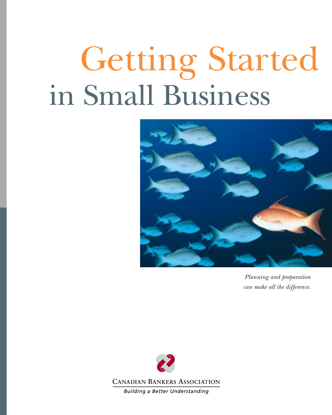# Getting Started in Small Business



*Planning and preparation can make all the difference.*

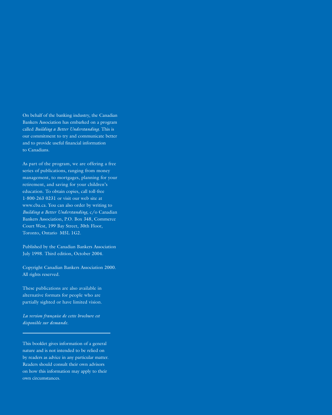On behalf of the banking industry, the Canadian Bankers Association has embarked on a program called *Building a Better Understanding*. This is our commitment to try and communicate better and to provide useful financial information to Canadians.

As part of the program, we are offering a free series of publications, ranging from money management, to mortgages, planning for your retirement, and saving for your children's education. To obtain copies, call toll-free 1-800-263 0231 or visit our web site at www.cba.ca. You can also order by writing to *Building a Better Understanding*, c/o Canadian Bankers Association, P.O. Box 348, Commerce Court West, 199 Bay Street, 30th Floor, Toronto, Ontario M5L 1G2.

Published by the Canadian Bankers Association July 1998. Third edition, October 2004.

Copyright Canadian Bankers Association 2000. All rights reserved.

These publications are also available in alternative formats for people who are partially sighted or have limited vision.

*La version française de cette brochure est disponible sur demande.*

This booklet gives information of a general nature and is not intended to be relied on by readers as advice in any particular matter. Readers should consult their own advisors on how this information may apply to their own circumstances.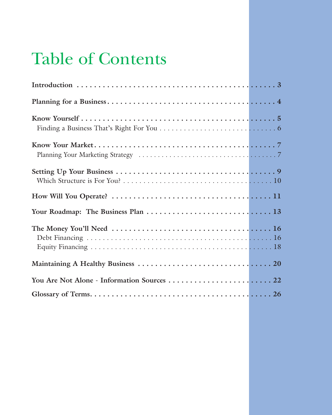# Table of Contents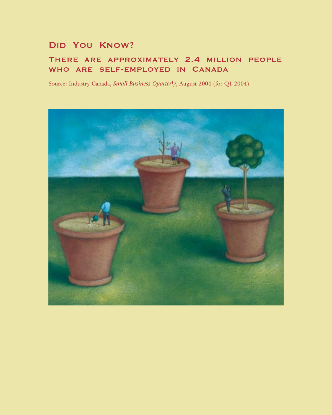## **Did You Know?**

## **There are approximately 2.4 million people who are self-employed in Canada**

Source: Industry Canada, *Small Business Quarterly*, August 2004 (for Q1 2004)

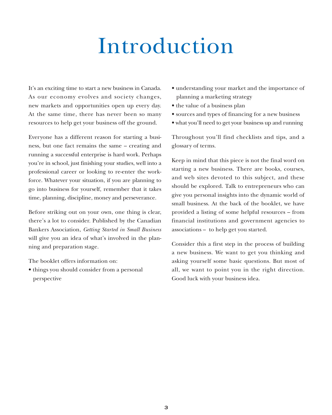# Introduction

It's an exciting time to start a new business in Canada. As our economy evolves and society changes, new markets and opportunities open up every day. At the same time, there has never been so many resources to help get your business off the ground.

Everyone has a different reason for starting a business, but one fact remains the same – creating and running a successful enterprise is hard work. Perhaps you're in school, just finishing your studies, well into a professional career or looking to re-enter the workforce. Whatever your situation, if you are planning to go into business for yourself, remember that it takes time, planning, discipline, money and perseverance.

Before striking out on your own, one thing is clear, there's a lot to consider. Published by the Canadian Bankers Association, *Getting Started in Small Business* will give you an idea of what's involved in the planning and preparation stage.

The booklet offers information on:

• things you should consider from a personal perspective

- understanding your market and the importance of planning a marketing strategy
- the value of a business plan
- sources and types of financing for a new business
- what you'll need to get your business up and running

Throughout you'll find checklists and tips, and a glossary of terms.

Keep in mind that this piece is not the final word on starting a new business. There are books, courses, and web sites devoted to this subject, and these should be explored. Talk to entrepreneurs who can give you personal insights into the dynamic world of small business. At the back of the booklet, we have provided a listing of some helpful resources – from financial institutions and government agencies to associations – to help get you started.

Consider this a first step in the process of building a new business. We want to get you thinking and asking yourself some basic questions. But most of all, we want to point you in the right direction. Good luck with your business idea.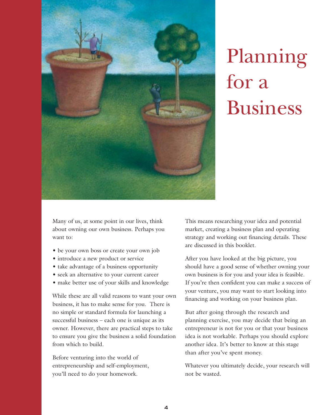

# Planning for a Business

Many of us, at some point in our lives, think about owning our own business. Perhaps you want to:

- be your own boss or create your own job
- introduce a new product or service
- take advantage of a business opportunity
- seek an alternative to your current career
- make better use of your skills and knowledge

While these are all valid reasons to want your own business, it has to make sense for you. There is no simple or standard formula for launching a successful business – each one is unique as its owner. However, there are practical steps to take to ensure you give the business a solid foundation from which to build.

Before venturing into the world of entrepreneurship and self-employment, you'll need to do your homework.

This means researching your idea and potential market, creating a business plan and operating strategy and working out financing details. These are discussed in this booklet.

After you have looked at the big picture, you should have a good sense of whether owning your own business is for you and your idea is feasible. If you're then confident you can make a success of your venture, you may want to start looking into financing and working on your business plan.

But after going through the research and planning exercise, you may decide that being an entrepreneur is not for you or that your business idea is not workable. Perhaps you should explore another idea. It's better to know at this stage than after you've spent money.

Whatever you ultimately decide, your research will not be wasted.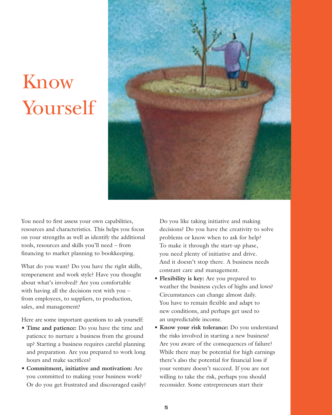# Know Yourself



You need to first assess your own capabilities, resources and characteristics. This helps you focus on your strengths as well as identify the additional tools, resources and skills you'll need – from financing to market planning to bookkeeping.

What do you want? Do you have the right skills, temperament and work style? Have you thought about what's involved? Are you comfortable with having all the decisions rest with you – from employees, to suppliers, to production, sales, and management?

Here are some important questions to ask yourself:

- **Time and patience:** Do you have the time and patience to nurture a business from the ground up? Starting a business requires careful planning and preparation. Are you prepared to work long hours and make sacrifices?
- **Commitment, initiative and motivation:** Are you committed to making your business work? Or do you get frustrated and discouraged easily?

Do you like taking initiative and making decisions? Do you have the creativity to solve problems or know when to ask for help? To make it through the start-up phase, you need plenty of initiative and drive. And it doesn't stop there. A business needs constant care and management.

- **Flexibility is key:** Are you prepared to weather the business cycles of highs and lows? Circumstances can change almost daily. You have to remain flexible and adapt to new conditions, and perhaps get used to an unpredictable income.
- **Know your risk tolerance:** Do you understand the risks involved in starting a new business? Are you aware of the consequences of failure? While there may be potential for high earnings there's also the potential for financial loss if your venture doesn't succeed. If you are not willing to take the risk, perhaps you should reconsider. Some entrepreneurs start their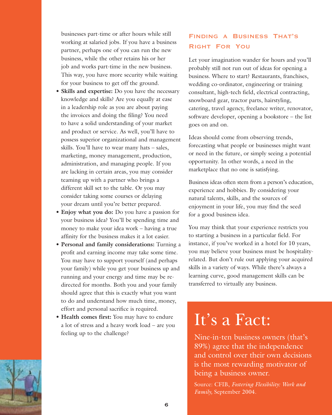businesses part-time or after hours while still working at salaried jobs. If you have a business partner, perhaps one of you can run the new business, while the other retains his or her job and works part-time in the new business. This way, you have more security while waiting for your business to get off the ground.

- **Skills and expertise:** Do you have the necessary knowledge and skills? Are you equally at ease in a leadership role as you are about paying the invoices and doing the filing? You need to have a solid understanding of your market and product or service. As well, you'll have to possess superior organizational and management skills. You'll have to wear many hats – sales, marketing, money management, production, administration, and managing people. If you are lacking in certain areas, you may consider teaming up with a partner who brings a different skill set to the table. Or you may consider taking some courses or delaying your dream until you're better prepared.
- **Enjoy what you do:** Do you have a passion for your business idea? You'll be spending time and money to make your idea work – having a true affinity for the business makes it a lot easier.
- **Personal and family considerations:** Turning a profit and earning income may take some time. You may have to support yourself (and perhaps your family) while you get your business up and running and your energy and time may be redirected for months. Both you and your family should agree that this is exactly what you want to do and understand how much time, money, effort and personal sacrifice is required.
- **Health comes first:** You may have to endure a lot of stress and a heavy work load – are you feeling up to the challenge?

### **Finding a Business That's Right For You**

Let your imagination wander for hours and you'll probably still not run out of ideas for opening a business. Where to start? Restaurants, franchises, wedding co-ordinator, engineering or training consultant, high-tech field, electrical contracting, snowboard gear, tractor parts, hairstyling, catering, travel agency, freelance writer, renovator, software developer, opening a bookstore – the list goes on and on.

Ideas should come from observing trends, forecasting what people or businesses might want or need in the future, or simply seeing a potential opportunity. In other words, a need in the marketplace that no one is satisfying.

Business ideas often stem from a person's education, experience and hobbies. By considering your natural talents, skills, and the sources of enjoyment in your life, you may find the seed for a good business idea.

You may think that your experience restricts you to starting a business in a particular field. For instance, if you've worked in a hotel for 10 years, you may believe your business must be hospitalityrelated. But don't rule out applying your acquired skills in a variety of ways. While there's always a learning curve, good management skills can be transferred to virtually any business.

## It's a Fact:

Nine-in-ten business owners (that's 89%) agree that the independence and control over their own decisions is the most rewarding motivator of being a business owner.

Source: CFIB, *Fostering Flexibility: Work and Family,* September 2004.

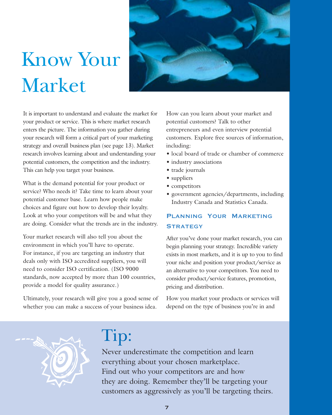# Know Your Market



It is important to understand and evaluate the market for your product or service. This is where market research enters the picture. The information you gather during your research will form a critical part of your marketing strategy and overall business plan (see page 13). Market research involves learning about and understanding your potential customers, the competition and the industry. This can help you target your business.

What is the demand potential for your product or service? Who needs it? Take time to learn about your potential customer base. Learn how people make choices and figure out how to develop their loyalty. Look at who your competitors will be and what they are doing. Consider what the trends are in the industry.

Your market research will also tell you about the environment in which you'll have to operate. For instance, if you are targeting an industry that deals only with ISO accredited suppliers, you will need to consider ISO certification. (ISO 9000 standards, now accepted by more than 100 countries, provide a model for quality assurance.)

Ultimately, your research will give you a good sense of whether you can make a success of your business idea.

How can you learn about your market and potential customers? Talk to other entrepreneurs and even interview potential customers. Explore free sources of information, including:

- local board of trade or chamber of commerce
- industry associations
- trade journals
- suppliers
- competitors
- government agencies/departments, including Industry Canada and Statistics Canada.

### **Planning Your Marketing Strategy**

After you've done your market research, you can begin planning your strategy. Incredible variety exists in most markets, and it is up to you to find your niche and position your product/service as an alternative to your competitors. You need to consider product/service features, promotion, pricing and distribution.

How you market your products or services will depend on the type of business you're in and



# Tip:

Never underestimate the competition and learn everything about your chosen marketplace. Find out who your competitors are and how they are doing. Remember they'll be targeting your customers as aggressively as you'll be targeting theirs.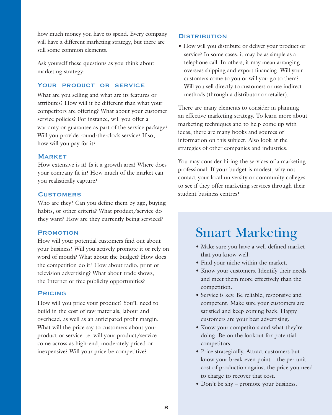how much money you have to spend. Every company will have a different marketing strategy, but there are still some common elements.

Ask yourself these questions as you think about marketing strategy:

### **Your product or service**

What are you selling and what are its features or attributes? How will it be different than what your competitors are offering? What about your customer service policies? For instance, will you offer a warranty or guarantee as part of the service package? Will you provide round-the-clock service? If so, how will you pay for it?

### **Market**

How extensive is it? Is it a growth area? Where does your company fit in? How much of the market can you realistically capture?

### **Customers**

Who are they? Can you define them by age, buying habits, or other criteria? What product/service do they want? How are they currently being serviced?

### **Promotion**

How will your potential customers find out about your business? Will you actively promote it or rely on word of mouth? What about the budget? How does the competition do it? How about radio, print or television advertising? What about trade shows, the Internet or free publicity opportunities?

### **Pricing**

How will you price your product? You'll need to build in the cost of raw materials, labour and overhead, as well as an anticipated profit margin. What will the price say to customers about your product or service i.e. will your product/service come across as high-end, moderately priced or inexpensive? Will your price be competitive?

### **Distribution**

• How will you distribute or deliver your product or service? In some cases, it may be as simple as a telephone call. In others, it may mean arranging overseas shipping and export financing. Will your customers come to you or will you go to them? Will you sell directly to customers or use indirect methods (through a distributor or retailer).

There are many elements to consider in planning an effective marketing strategy. To learn more about marketing techniques and to help come up with ideas, there are many books and sources of information on this subject. Also look at the strategies of other companies and industries.

You may consider hiring the services of a marketing professional. If your budget is modest, why not contact your local university or community colleges to see if they offer marketing services through their student business centres?

## Smart Marketing

- Make sure you have a well-defined market that you know well.
- Find your niche within the market.
- Know your customers. Identify their needs and meet them more effectively than the competition.
- Service is key. Be reliable, responsive and competent. Make sure your customers are satisfied and keep coming back. Happy customers are your best advertising.
- Know your competitors and what they're doing. Be on the lookout for potential competitors.
- Price strategically. Attract customers but know your break-even point – the per unit cost of production against the price you need to charge to recover that cost.
- Don't be shy promote your business.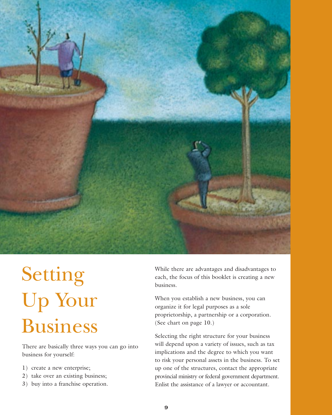

# Setting Up Your Business

There are basically three ways you can go into business for yourself:

- 1) create a new enterprise;
- 2) take over an existing business;
- 3) buy into a franchise operation.

While there are advantages and disadvantages to each, the focus of this booklet is creating a new business.

When you establish a new business, you can organize it for legal purposes as a sole proprietorship, a partnership or a corporation. (See chart on page 10.)

Selecting the right structure for your business will depend upon a variety of issues, such as tax implications and the degree to which you want to risk your personal assets in the business. To set up one of the structures, contact the appropriate provincial ministry or federal government department. Enlist the assistance of a lawyer or accountant.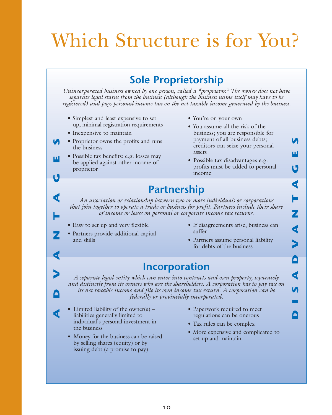# Which Structure is for You?

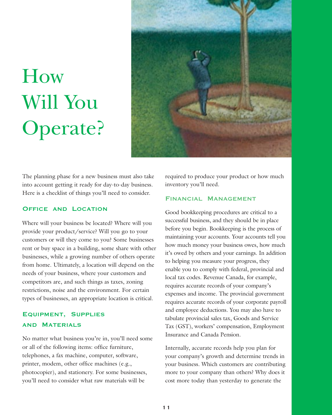# How Will You Operate?



The planning phase for a new business must also take into account getting it ready for day-to-day business. Here is a checklist of things you'll need to consider.

### **Office and Location**

Where will your business be located? Where will you provide your product/service? Will you go to your customers or will they come to you? Some businesses rent or buy space in a building, some share with other businesses, while a growing number of others operate from home. Ultimately, a location will depend on the needs of your business, where your customers and competitors are, and such things as taxes, zoning restrictions, noise and the environment. For certain types of businesses, an appropriate location is critical.

### **Equipment, Supplies and Materials**

No matter what business you're in, you'll need some or all of the following items: office furniture, telephones, a fax machine, computer, software, printer, modem, other office machines (e.g., photocopier), and stationery. For some businesses, you'll need to consider what raw materials will be

required to produce your product or how much inventory you'll need.

### **Financial Management**

Good bookkeeping procedures are critical to a successful business, and they should be in place before you begin. Bookkeeping is the process of maintaining your accounts. Your accounts tell you how much money your business owes, how much it's owed by others and your earnings. In addition to helping you measure your progress, they enable you to comply with federal, provincial and local tax codes. Revenue Canada, for example, requires accurate records of your company's expenses and income. The provincial government requires accurate records of your corporate payroll and employee deductions. You may also have to tabulate provincial sales tax, Goods and Service Tax (GST), workers' compensation, Employment Insurance and Canada Pension.

Internally, accurate records help you plan for your company's growth and determine trends in your business. Which customers are contributing more to your company than others? Why does it cost more today than yesterday to generate the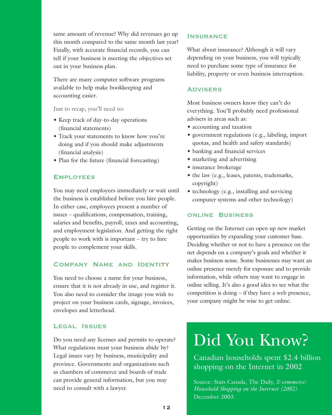same amount of revenue? Why did revenues go up this month compared to the same month last year? Finally, with accurate financial records, you can tell if your business is meeting the objectives set out in your business plan.

There are many computer software programs available to help make bookkeeping and accounting easier.

Just to recap, you'll need to:

- Keep track of day-to-day operations (financial statements)
- Track your statements to know how you're doing and if you should make adjustments (financial analysis)
- Plan for the future (financial forecasting)

### **Employees**

You may need employees immediately or wait until the business is established before you hire people. In either case, employees present a number of issues – qualifications, compensation, training, salaries and benefits, payroll, taxes and accounting, and employment legislation. And getting the right people to work with is important – try to hire people to complement your skills.

### **Company Name and Identity**

You need to choose a name for your business, ensure that it is not already in use, and register it. You also need to consider the image you wish to project on your business cards, signage, invoices, envelopes and letterhead.

### **Legal Issues**

Do you need any licenses and permits to operate? What regulations must your business abide by? Legal issues vary by business, municipality and province. Governments and organizations such as chambers of commerce and boards of trade can provide general information, but you may need to consult with a lawyer.

### **Insurance**

What about insurance? Although it will vary depending on your business, you will typically need to purchase some type of insurance for liability, property or even business interruption.

### **Advisers**

Most business owners know they can't do everything. You'll probably need professional advisers in areas such as:

- accounting and taxation
- government regulations (e.g., labeling, import quotas, and health and safety standards)
- banking and financial services
- marketing and advertising
- insurance brokerage
- the law (e.g., leases, patents, trademarks, copyright)
- technology (e.g., installing and servicing computer systems and other technology)

### **online Business**

Getting on the Internet can open up new market opportunities by expanding your customer base. Deciding whether or not to have a presence on the net depends on a company's goals and whether it makes business sense. Some businesses may want an online presence merely for exposure and to provide information, while others may want to engage in online selling. It's also a good idea to see what the competition is doing – if they have a web presence, your company might be wise to get online.

## Did You Know?

Canadian households spent \$2.4 billion shopping on the Internet in 2002

Source: Stats Canada, The Daily, *E-commerce: Household Shopping on the Internet (2002)* December 2003.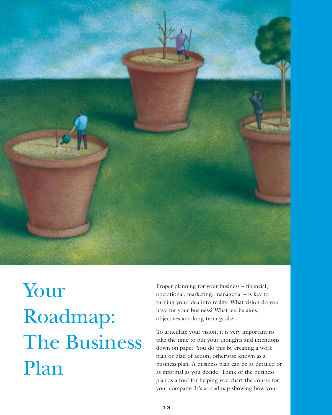

Your Roadmap: The Business Plan

Proper planning for your business – financial, operational, marketing, managerial – is key to turning your idea into reality. What vision do you have for your business? What are its aims, objectives and long-term goals?

To articulate your vision, it is very important to take the time to put your thoughts and intentions down on paper. You do this by creating a work plan or plan of action, otherwise known as a business plan. A business plan can be as detailed or as informal as you decide. Think of the business plan as a tool for helping you chart the course for your company. It's a roadmap showing how your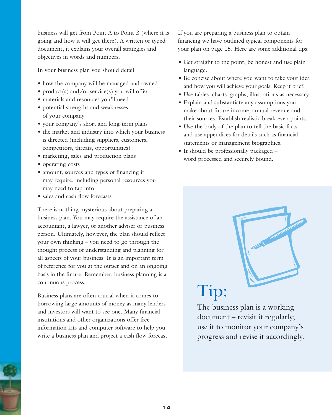business will get from Point A to Point B (where it is going and how it will get there). A written or typed document, it explains your overall strategies and objectives in words and numbers.

In your business plan you should detail:

- how the company will be managed and owned
- product(s) and/or service(s) you will offer
- materials and resources you'll need
- potential strengths and weaknesses of your company
- your company's short and long-term plans
- the market and industry into which your business is directed (including suppliers, customers, competitors, threats, opportunities)
- marketing, sales and production plans
- operating costs
- amount, sources and types of financing it may require, including personal resources you may need to tap into
- sales and cash flow forecasts

There is nothing mysterious about preparing a business plan. You may require the assistance of an accountant, a lawyer, or another adviser or business person. Ultimately, however, the plan should reflect your own thinking – you need to go through the thought process of understanding and planning for all aspects of your business. It is an important term of reference for you at the outset and on an ongoing basis in the future. Remember, business planning is a continuous process.

Business plans are often crucial when it comes to borrowing large amounts of money as many lenders and investors will want to see one. Many financial institutions and other organizations offer free information kits and computer software to help you write a business plan and project a cash flow forecast. If you are preparing a business plan to obtain financing we have outlined typical components for your plan on page 15. Here are some additional tips:

- Get straight to the point, be honest and use plain language.
- Be concise about where you want to take your idea and how you will achieve your goals. Keep it brief.
- Use tables, charts, graphs, illustrations as necessary.
- Explain and substantiate any assumptions you make about future income, annual revenue and their sources. Establish realistic break-even points.
- Use the body of the plan to tell the basic facts and use appendices for details such as financial statements or management biographies.
- It should be professionally packaged word processed and securely bound.

# Tip:

The business plan is a working document – revisit it regularly; use it to monitor your company's progress and revise it accordingly.

Construction of the construction of the construction of the construction of the construction of the construction of the construction of the construction of the construction of the construction of the construction of the co

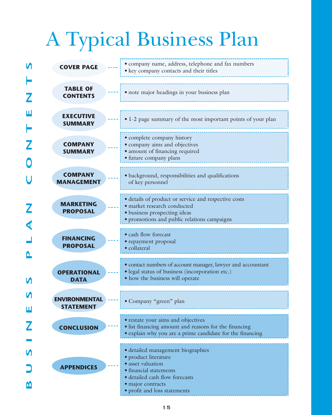# A Typical Business Plan

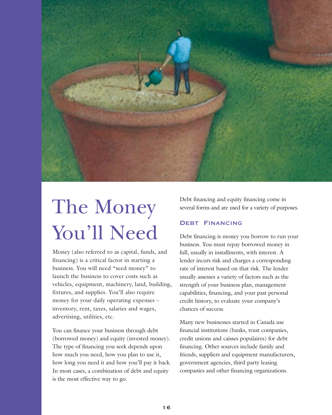

# The Money You'll Need

Money (also referred to as capital, funds, and financing) is a critical factor in starting a business. You will need "seed money" to launch the business to cover costs such as vehicles, equipment, machinery, land, building, fixtures, and supplies. You'll also require money for your daily operating expenses – inventory, rent, taxes, salaries and wages, advertising, utilities, etc.

You can finance your business through debt (borrowed money) and equity (invested money). The type of financing you seek depends upon how much you need, how you plan to use it, how long you need it and how you'll pay it back. In most cases, a combination of debt and equity is the most effective way to go.

Debt financing and equity financing come in several forms and are used for a variety of purposes.

### **Debt Financing**

Debt financing is money you borrow to run your business. You must repay borrowed money in full, usually in installments, with interest. A lender incurs risk and charges a corresponding rate of interest based on that risk. The lender usually assesses a variety of factors such as the strength of your business plan, management capabilities, financing, and your past personal credit history, to evaluate your company's chances of success.

Many new businesses started in Canada use financial institutions (banks, trust companies, credit unions and caisses populaires) for debt financing. Other sources include family and friends, suppliers and equipment manufacturers, government agencies, third-party leasing companies and other financing organizations.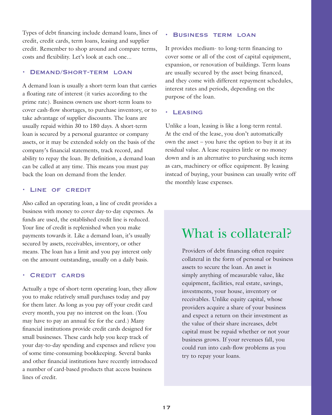Types of debt financing include demand loans, lines of credit, credit cards, term loans, leasing and supplier credit. Remember to shop around and compare terms, costs and flexibility. Let's look at each one...

### **• Demand/Short-term loan**

A demand loan is usually a short-term loan that carries a floating rate of interest (it varies according to the prime rate). Business owners use short-term loans to cover cash-flow shortages, to purchase inventory, or to take advantage of supplier discounts. The loans are usually repaid within 30 to 180 days. A short-term loan is secured by a personal guarantee or company assets, or it may be extended solely on the basis of the company's financial statements, track record, and ability to repay the loan. By definition, a demand loan can be called at any time. This means you must pay back the loan on demand from the lender.

### **• Line of credit**

Also called an operating loan, a line of credit provides a business with money to cover day-to-day expenses. As funds are used, the established credit line is reduced. Your line of credit is replenished when you make payments towards it. Like a demand loan, it's usually secured by assets, receivables, inventory, or other means. The loan has a limit and you pay interest only on the amount outstanding, usually on a daily basis.

### **• Credit cards**

Actually a type of short-term operating loan, they allow you to make relatively small purchases today and pay for them later. As long as you pay off your credit card every month, you pay no interest on the loan. (You may have to pay an annual fee for the card.) Many financial institutions provide credit cards designed for small businesses. These cards help you keep track of your day-to-day spending and expenses and relieve you of some time-consuming bookkeeping. Several banks and other financial institutions have recently introduced a number of card-based products that access business lines of credit.

### **• Business term loan**

It provides medium- to long-term financing to cover some or all of the cost of capital equipment, expansion, or renovation of buildings. Term loans are usually secured by the asset being financed, and they come with different repayment schedules, interest rates and periods, depending on the purpose of the loan.

### **• Leasing**

Unlike a loan, leasing is like a long-term rental. At the end of the lease, you don't automatically own the asset – you have the option to buy it at its residual value. A lease requires little or no money down and is an alternative to purchasing such items as cars, machinery or office equipment. By leasing instead of buying, your business can usually write off the monthly lease expenses.

## What is collateral?

Providers of debt financing often require collateral in the form of personal or business assets to secure the loan. An asset is simply anything of measurable value, like equipment, facilities, real estate, savings, investments, your house, inventory or receivables. Unlike equity capital, whose providers acquire a share of your business and expect a return on their investment as the value of their share increases, debt capital must be repaid whether or not your business grows. If your revenues fall, you could run into cash-flow problems as you try to repay your loans.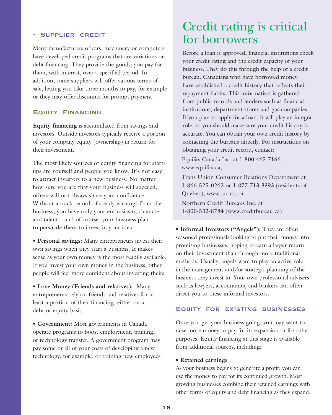### **• Supplier credit**

Many manufacturers of cars, machinery or computers have developed credit programs that are variations on debt financing. They provide the goods; you pay for them, with interest, over a specified period. In addition, some suppliers will offer various terms of sale, letting you take three months to pay, for example or they may offer discounts for prompt payment.

### **Equity Financing**

**Equity financing** is accumulated from savings and investors. Outside investors typically receive a portion of your company equity (ownership) in return for their investment.

The most likely sources of equity financing for startups are yourself and people you know. It's not easy to attract investors to a new business. No matter how sure you are that your business will succeed, others will not always share your confidence. Without a track record of steady earnings from the business, you have only your enthusiasm, character and talent – and of course, your business plan – to persuade them to invest in your idea.

**• Personal savings:** Many entrepreneurs invest their own savings when they start a business. It makes sense as your own money is the most readily available. If you invest your own money in the business, other people will feel more confident about investing theirs.

**• Love Money (Friends and relatives):** Many entrepreneurs rely on friends and relatives for at least a portion of their financing, either on a debt or equity basis.

**• Government:** Most governments in Canada operate programs to boost employment, training, or technology transfer. A government program may pay some or all of your costs of developing a new technology, for example, or training new employees.

## Credit rating is critical for borrowers

Before a loan is approved, financial institutions check your credit rating and the credit capacity of your business. They do this through the help of a credit bureau. Canadians who have borrowed money have established a credit history that reflects their repayment habits. This information is gathered from public records and lenders such as financial institutions, department stores and gas companies. If you plan to apply for a loan, it will play an integral role, so you should make sure your credit history is accurate. You can obtain your own credit history by contacting the bureaus directly. For instructions on obtaining your credit record, contact:

Equifax Canada Inc. at 1-800-465-7166, www.equifax.ca;

Trans Union Consumer Relations Department at 1-866-525-0262 or 1-877-713-3393 (residents of Quebec), www.tuc.ca; or Northern Credit Bureaus Inc. at

1-800-532-8784 (www.creditbureau.ca)

**• Informal Investors ("Angels"):** They are often seasoned professionals looking to put their money into promising businesses, hoping to earn a larger return on their investment than through more traditional methods. Usually, angels want to play an active role in the management and/or strategic planning of the business they invest in. Your own professional advisers such as lawyers, accountants, and bankers can often direct you to these informal investors.

### **Equity for existing businesses**

Once you get your business going, you may want to raise more money to pay for its expansion or for other purposes. Equity financing at this stage is available from additional sources, including:

#### **• Retained earnings**

As your business begins to generate a profit, you can use the money to pay for its continued growth. Most growing businesses combine their retained earnings with other forms of equity and debt financing as they expand.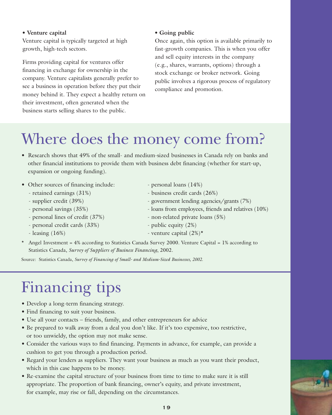### **• Venture capital**

Venture capital is typically targeted at high growth, high-tech sectors.

Firms providing capital for ventures offer financing in exchange for ownership in the company. Venture capitalists generally prefer to see a business in operation before they put their money behind it. They expect a healthy return on their investment, often generated when the business starts selling shares to the public.

### **• Going public**

Once again, this option is available primarily to fast-growth companies. This is when you offer and sell equity interests in the company (e.g., shares, warrants, options) through a stock exchange or broker network. Going public involves a rigorous process of regulatory compliance and promotion.

# Where does the money come from?

- Research shows that 49% of the small- and medium-sized businesses in Canada rely on banks and other financial institutions to provide them with business debt financing (whether for start-up, expansion or ongoing funding).
- Other sources of financing include: personal loans (14%)
	- retained earnings (31%) business credit cards (26%)
	-
	-
	-
	- personal credit cards (33%) public equity (2%)
	-
- 
- 
- supplier credit (39%) government lending agencies/grants (7%)
- personal savings (35%) loans from employees, friends and relatives (10%)
- personal lines of credit (37%) non-related private loans (5%)
	-
- $-$  leasing  $(16\%)$   $-$  venture capital  $(2\%)^*$
- \* Angel Investment = 4% according to Statistics Canada Survey 2000. Venture Capital = 1% according to Statistics Canada, *Survey of Suppliers of Business Financing*, 2002.

Source: Statistics Canada, *Survey of Financing of Small- and Medium-Sized Businesses, 2002*.

# Financing tips

- Develop a long-term financing strategy.
- Find financing to suit your business.
- Use all your contacts friends, family, and other entrepreneurs for advice
- Be prepared to walk away from a deal you don't like. If it's too expensive, too restrictive, or too unwieldy, the option may not make sense.
- Consider the various ways to find financing. Payments in advance, for example, can provide a cushion to get you through a production period.
- Regard your lenders as suppliers. They want your business as much as you want their product, which in this case happens to be money.
- Re-examine the capital structure of your business from time to time to make sure it is still appropriate. The proportion of bank financing, owner's equity, and private investment, for example, may rise or fall, depending on the circumstances.

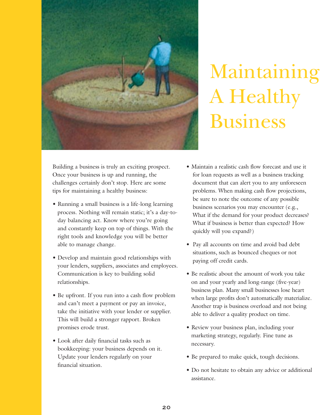

# Maintaining A Healthy Business

Building a business is truly an exciting prospect. Once your business is up and running, the challenges certainly don't stop. Here are some tips for maintaining a healthy business:

- Running a small business is a life-long learning process. Nothing will remain static; it's a day-today balancing act. Know where you're going and constantly keep on top of things. With the right tools and knowledge you will be better able to manage change.
- Develop and maintain good relationships with your lenders, suppliers, associates and employees. Communication is key to building solid relationships.
- Be upfront. If you run into a cash flow problem and can't meet a payment or pay an invoice, take the initiative with your lender or supplier. This will build a stronger rapport. Broken promises erode trust.
- Look after daily financial tasks such as bookkeeping: your business depends on it. Update your lenders regularly on your financial situation.
- Maintain a realistic cash flow forecast and use it for loan requests as well as a business tracking document that can alert you to any unforeseen problems. When making cash flow projections, be sure to note the outcome of any possible business scenarios you may encounter (e.g., What if the demand for your product decreases? What if business is better than expected? How quickly will you expand?)
- Pay all accounts on time and avoid bad debt situations, such as bounced cheques or not paying off credit cards.
- Be realistic about the amount of work you take on and your yearly and long-range (five-year) business plan. Many small businesses lose heart when large profits don't automatically materialize. Another trap is business overload and not being able to deliver a quality product on time.
- Review your business plan, including your marketing strategy, regularly. Fine tune as necessary.
- Be prepared to make quick, tough decisions.
- Do not hesitate to obtain any advice or additional assistance.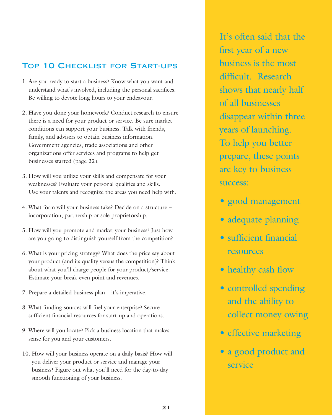### Top 10 Checklist for Start-ups

- 1. Are you ready to start a business? Know what you want and understand what's involved, including the personal sacrifices. Be willing to devote long hours to your endeavour.
- 2. Have you done your homework? Conduct research to ensure there is a need for your product or service. Be sure market conditions can support your business. Talk with friends, family, and advisers to obtain business information. Government agencies, trade associations and other organizations offer services and programs to help get businesses started (page 22).
- 3. How will you utilize your skills and compensate for your weaknesses? Evaluate your personal qualities and skills. Use your talents and recognize the areas you need help with.
- 4. What form will your business take? Decide on a structure incorporation, partnership or sole proprietorship.
- 5. How will you promote and market your business? Just how are you going to distinguish yourself from the competition?
- 6. What is your pricing strategy? What does the price say about your product (and its quality versus the competition)? Think about what you'll charge people for your product/service. Estimate your break-even point and revenues.
- 7. Prepare a detailed business plan it's imperative.
- 8. What funding sources will fuel your enterprise? Secure sufficient financial resources for start-up and operations.
- 9. Where will you locate? Pick a business location that makes sense for you and your customers.
- 10. How will your business operate on a daily basis? How will you deliver your product or service and manage your business? Figure out what you'll need for the day-to-day smooth functioning of your business.

It's often said that the first year of a new business is the most difficult. Research shows that nearly half of all businesses disappear within three years of launching. To help you better prepare, these points are key to business success:

- good management
- adequate planning
- sufficient financial resources
- healthy cash flow
- controlled spending and the ability to collect money owing
- effective marketing
- a good product and service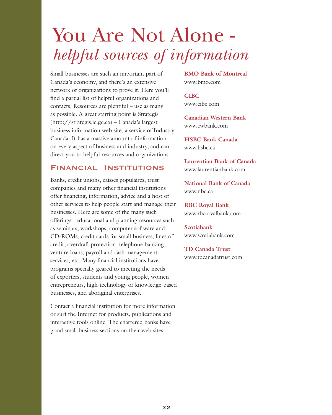# You Are Not Alone *helpful sources of information*

Small businesses are such an important part of Canada's economy, and there's an extensive network of organizations to prove it. Here you'll find a partial list of helpful organizations and contacts. Resources are plentiful – use as many as possible. A great starting point is Strategis (http://strategis.ic.gc.ca) – Canada's largest business information web site, a service of Industry Canada. It has a massive amount of information on every aspect of business and industry, and can direct you to helpful resources and organizations.

### **Financial Institutions**

Banks, credit unions, caisses populaires, trust companies and many other financial institutions offer financing, information, advice and a host of other services to help people start and manage their businesses. Here are some of the many such offerings: educational and planning resources such as seminars, workshops, computer software and CD-ROMs; credit cards for small business; lines of credit, overdraft protection, telephone banking, venture loans; payroll and cash management services, etc. Many financial institutions have programs specially geared to meeting the needs of exporters, students and young people, women entrepreneurs, high-technology or knowledge-based businesses, and aboriginal enterprises.

Contact a financial institution for more information or surf the Internet for products, publications and interactive tools online. The chartered banks have good small business sections on their web sites.

**BMO Bank of Montreal** www.bmo.com

**CIBC** www.cibc.com

**Canadian Western Bank** www.cwbank.com

**HSBC Bank Canada** www.hsbc.ca

**Laurentian Bank of Canada** www.laurentianbank.com

**National Bank of Canada** www.nbc.ca

**RBC Royal Bank** www.rbcroyalbank.com

**Scotiabank** www.scotiabank.com

**TD Canada Trust** www.tdcanadatrust.com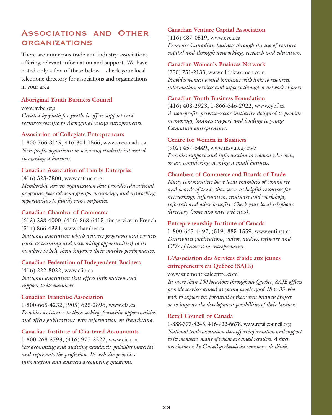## **Associations and Other organizations**

There are numerous trade and industry associations offering relevant information and support. We have noted only a few of these below – check your local telephone directory for associations and organizations in your area.

### **Aboriginal Youth Business Council**

www.aybc.org *Created by youth for youth, it offers support and resources specific to Aboriginal young entrepreneurs.*

### **Association of Collegiate Entrepreneurs**

1-800-766-8169, 416-304-1566, www.acecanada.ca *Non-profit organization servicing students interested in owning a business.* 

### **Canadian Association of Family Enterprise**

(416) 323-7800, www.cafeuc.org *Membership-driven organization that provides educational programs, peer advisory groups, mentoring, and networking opportunities to family-run companies.*

### **Canadian Chamber of Commerce**

(613) 238-4000, (416) 868-6415, for service in French (514) 866-4334, www.chamber.ca *National association which delivers programs and services (such as training and networking opportunities) to its members to help them improve their market performance.*

### **Canadian Federation of Independent Business**

(416) 222-8022, www.cfib.ca *National association that offers information and support to its members.* 

### **Canadian Franchise Association**

1-800-665-4232, (905) 625-2896, www.cfa.ca *Provides assistance to those seeking franchise opportunities, and offers publications with information on franchising.* 

### **Canadian Institute of Chartered Accountants**

1-800-268-3793, (416) 977-3222, www.cica.ca *Sets accounting and auditing standards, publishes material and represents the profession. Its web site provides information and answers accounting questions.*

### **Canadian Venture Capital Association**

(416) 487-0519, www.cvca.ca *Promotes Canadian business through the use of venture capital and through networking, research and education.*

#### **Canadian Women's Business Network**

(250) 751-2133, www.cdnbizwomen.com *Provides women-owned businesses with links to resources, information, services and support through a network of peers.*

### **Canadian Youth Business Foundation**

(416) 408-2923, 1-866-646-2922, www.cybf.ca *A non-profit, private-sector initiative designed to provide mentoring, business support and lending to young Canadian entrepreneurs.* 

### **Centre for Women in Business**

(902) 457-6449, www.msvu.ca/cwb *Provides support and information to women who own, or are considering opening a small business.*

### **Chambers of Commerce and Boards of Trade**

*Many communities have local chambers of commerce and boards of trade that serve as helpful resources for networking, information, seminars and workshops, referrals and other benefits. Check your local telephone directory (some also have web sites).* 

### **Entrepreneurship Institute of Canada**

1-800-665-4497, (519) 885-1559, www.entinst.ca *Distributes publications, videos, audios, software and CD's of interest to entrepreneurs.* 

### **L'Association des Services d'aide aux jeunes entrepreneurs du Québec (SAJE)**

www.sajemontrealcentre.com

*In more than 100 locations throughout Quebec, SAJE offices provide services aimed at young people aged 18 to 35 who wish to explore the potential of their own business project or to improve the development possibilities of their business.* 

#### **Retail Council of Canada**

1-888-373-8245, 416-922-6678, www.retailcouncil.org *National trade association that offers information and support to its members, many of whom are small retailers. A sister association is Le Conseil quebecois du commerce de détail.*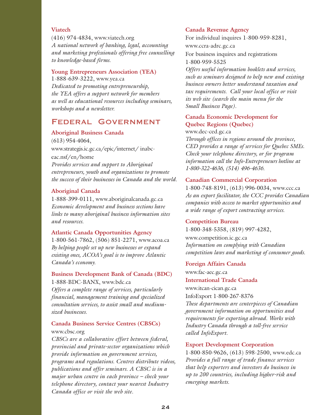### **Viatech**

(416) 974-4834, www.viatech.org *A national network of banking, legal, accounting and marketing professionals offering free counselling to knowledge-based firms.*

### **Young Entrepreneurs Association (YEA)**

1-888-639-3222, www.yea.ca *Dedicated to promoting entrepreneurship, the YEA offers a support network for members as well as educational resources including seminars, workshops and a newsletter.*

### **Federal Government**

### **Aboriginal Business Canada**

(613) 954-4064, www.strategis.ic.gc.ca/epic/internet/ inabceac.nsf/en/home *Provides services and support to Aboriginal entrepreneurs, youth and organizations to promote the success of their businesses in Canada and the world.* 

### **Aboriginal Canada**

1-888-399-0111, www.aboriginalcanada.gc.ca *Economic development and business sections have links to many aboriginal business information sites and resources.*

### **Atlantic Canada Opportunities Agency**

1-800-561-7862, (506) 851-2271, www.acoa.ca *By helping people set up new businesses or expand existing ones, ACOA's goal is to improve Atlantic Canada's economy.* 

### **Business Development Bank of Canada (BDC)** 1-888-BDC-BANX, www.bdc.ca

*Offers a complete range of services, particularly financial, management training and specialized consultation services, to assist small and mediumsized businesses.*

### **Canada Business Service Centres (CBSCs)** www.cbsc.org

*CBSCs are a collaborative effort between federal, provincial and private-sector organizations which provide information on government services, programs and regulations. Centres distribute videos, publications and offer seminars. A CBSC is in a major urban centre in each province – check your telephone directory, contact your nearest Industry Canada office or visit the web site.*

#### **Canada Revenue Agency**

For individual inquires 1-800-959-8281, www.ccra-adrc.gc.ca

For business inquires and registrations 1-800-959-5525

*Offers useful information booklets and services, such as seminars designed to help new and existing business owners better understand taxation and tax requirements. Call your local office or visit its web site (search the main menu for the Small Business Page).* 

### **Canada Economic Development for Quebec Regions (Quebec)**

www.dec-ced.gc.ca

*Through offices in regions around the province, CED provides a range of services for Quebec SMEs. Check your telephone directory, or for program information call the Info-Entrepreneurs hotline at 1-800-322-4636, (514) 496-4636.*

#### **Canadian Commercial Corporation**

1-800-748-8191, (613) 996-0034, www.ccc.ca *As an export facilitator, the CCC provides Canadian companies with access to market opportunities and a wide range of export contracting services.* 

### **Competition Bureau**

1-800-348-5358, (819) 997-4282, www.competition.ic.gc.ca *Information on complying with Canadian competition laws and marketing of consumer goods.*

#### **Foreign Affairs Canada**

www.fac-aec.gc.ca **International Trade Canada** www.itcan-cican.gc.ca InfoExport 1-800-267-8376 *These departments are centerpieces of Canadian government information on opportunities and requirements for exporting abroad. Works with Industry Canada through a toll-free service called InfoExport.* 

#### **Export Development Corporation**

1-800-850-9626, (613) 598-2500, www.edc.ca *Provides a full range of trade finance services that help exporters and investors do business in up to 200 countries, including higher-risk and emerging markets.*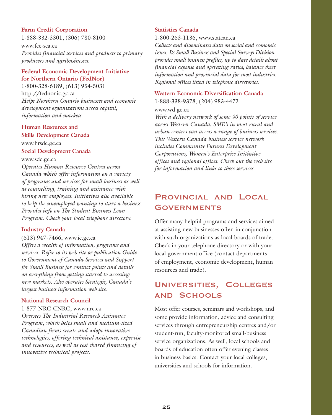### **Farm Credit Corporation**

1-888-332-3301, (306) 780-8100

www.fcc-sca.ca *Provides financial services and products to primary producers and agribusinesses.*

### **Federal Economic Development Initiative for Northern Ontario (FedNor)**

1-800-328-6189, (613) 954-5031 http://fednor.ic.gc.ca *Helps Northern Ontario businesses and economic development organizations access capital, information and markets.* 

### **Human Resources and**

**Skills Development Canada**  www.hrsdc.gc.ca **Social Development Canada**

www.sdc.gc.ca

*Operates Human Resource Centres across Canada which offer information on a variety of programs and services for small business as well as counselling, training and assistance with hiring new employees. Initiatives also available to help the unemployed wanting to start a business. Provides info on The Student Business Loan Program. Check your local telephone directory.*

### **Industry Canada**

(613) 947-7466, www.ic.gc.ca

*Offers a wealth of information, programs and services. Refer to its web site or publication Guide to Government of Canada Services and Support for Small Business for contact points and details on everything from getting started to accessing new markets. Also operates Strategis, Canada's largest business information web site.*

#### **National Research Council**

1-877-NRC-CNRC, www.nrc.ca *Oversees The Industrial Research Assistance Program, which helps small and medium-sized Canadian firms create and adopt innovative technologies, offering technical assistance, expertise and resources, as well as cost-shared financing of innovative technical projects.* 

### **Statistics Canada**

1-800-263-1136, www.statcan.ca

*Collects and disseminates data on social and economic issues. Its Small Business and Special Surveys Division provides small business profiles, up-to-date details about financial expense and operating ratios, balance sheet information and provincial data for most industries. Regional offices listed in telephone directories.*

## **Western Economic Diversification Canada**

1-888-338-9378, (204) 983-4472

www.wd.gc.ca

*With a delivery network of some 90 points of service across Western Canada, SME's in most rural and urban centres can access a range of business services. This Western Canada business service network includes Community Futures Development Corporations, Women's Enterprise Initiative offices and regional offices. Check out the web site for information and links to these services.* 

## **Provincial and Local Governments**

Offer many helpful programs and services aimed at assisting new businesses often in conjunction with such organizations as local boards of trade. Check in your telephone directory or with your local government office (contact departments of employment, economic development, human resources and trade).

### **Universities, Colleges and Schools**

Most offer courses, seminars and workshops, and some provide information, advice and consulting services through entrepreneurship centres and/or student-run, faculty-monitored small-business service organizations. As well, local schools and boards of education often offer evening classes in business basics. Contact your local colleges, universities and schools for information.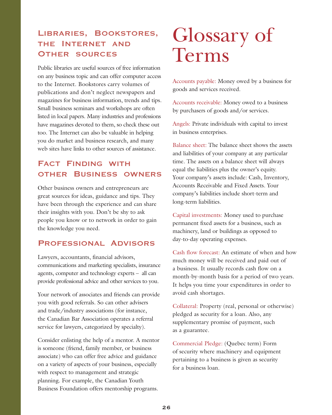## **Libraries, Bookstores, the Internet and Other sources**

Public libraries are useful sources of free information on any business topic and can offer computer access to the Internet. Bookstores carry volumes of publications and don't neglect newspapers and magazines for business information, trends and tips. Small business seminars and workshops are often listed in local papers. Many industries and professions have magazines devoted to them, so check these out too. The Internet can also be valuable in helping you do market and business research, and many web sites have links to other sources of assistance.

## **Fact Finding with other Business owners**

Other business owners and entrepreneurs are great sources for ideas, guidance and tips. They have been through the experience and can share their insights with you. Don't be shy to ask people you know or to network in order to gain the knowledge you need.

### **Professional Advisors**

Lawyers, accountants, financial advisors, communications and marketing specialists, insurance agents, computer and technology experts – all can provide professional advice and other services to you.

Your network of associates and friends can provide you with good referrals. So can other advisers and trade/industry associations (for instance, the Canadian Bar Association operates a referral service for lawyers, categorized by specialty).

Consider enlisting the help of a mentor. A mentor is someone (friend, family member, or business associate) who can offer free advice and guidance on a variety of aspects of your business, especially with respect to management and strategic planning. For example, the Canadian Youth Business Foundation offers mentorship programs.

# Glossary of Terms

Accounts payable: Money owed by a business for goods and services received.

Accounts receivable: Money owed to a business by purchasers of goods and/or services.

Angels: Private individuals with capital to invest in business enterprises.

Balance sheet: The balance sheet shows the assets and liabilities of your company at any particular time. The assets on a balance sheet will always equal the liabilities plus the owner's equity. Your company's assets include: Cash, Inventory, Accounts Receivable and Fixed Assets. Your company's liabilities include short-term and long-term liabilities.

Capital investments: Money used to purchase permanent fixed assets for a business, such as machinery, land or buildings as opposed to day-to-day operating expenses.

Cash flow forecast: An estimate of when and how much money will be received and paid out of a business. It usually records cash flow on a month-by-month basis for a period of two years. It helps you time your expenditures in order to avoid cash shortages.

Collateral: Property (real, personal or otherwise) pledged as security for a loan. Also, any supplementary promise of payment, such as a guarantee.

Commercial Pledge: (Quebec term) Form of security where machinery and equipment pertaining to a business is given as security for a business loan.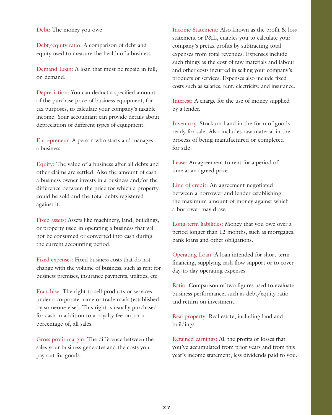Debt: The money you owe.

Debt/equity ratio: A comparison of debt and equity used to measure the health of a business.

Demand Loan: A loan that must be repaid in full, on demand.

Depreciation: You can deduct a specified amount of the purchase price of business equipment, for tax purposes, to calculate your company's taxable income. Your accountant can provide details about depreciation of different types of equipment.

Entrepreneur: A person who starts and manages a business.

Equity: The value of a business after all debts and other claims are settled. Also the amount of cash a business owner invests in a business and/or the difference between the price for which a property could be sold and the total debts registered against it.

Fixed assets: Assets like machinery, land, buildings, or property used in operating a business that will not be consumed or converted into cash during the current accounting period.

Fixed expenses: Fixed business costs that do not change with the volume of business, such as rent for business premises, insurance payments, utilities, etc.

Franchise: The right to sell products or services under a corporate name or trade mark (established by someone else). This right is usually purchased for cash in addition to a royalty fee on, or a percentage of, all sales.

Gross profit margin: The difference between the sales your business generates and the costs you pay out for goods.

Income Statement: Also known as the profit & loss statement or P&L, enables you to calculate your company's pretax profits by subtracting total expenses from total revenues. Expenses include such things as the cost of raw materials and labour and other costs incurred in selling your company's products or services. Expenses also include fixed costs such as salaries, rent, electricity, and insurance.

Interest: A charge for the use of money supplied by a lender.

Inventory: Stock on hand in the form of goods ready for sale. Also includes raw material in the process of being manufactured or completed for sale.

Lease: An agreement to rent for a period of time at an agreed price.

Line of credit: An agreement negotiated between a borrower and lender establishing the maximum amount of money against which a borrower may draw.

Long-term liabilities: Money that you owe over a period longer than 12 months, such as mortgages, bank loans and other obligations.

Operating Loan: A loan intended for short-term financing, supplying cash flow support or to cover day-to-day operating expenses.

Ratio: Comparison of two figures used to evaluate business performance, such as debt/equity ratio and return on investment.

Real property: Real estate, including land and buildings.

Retained earnings: All the profits or losses that you've accumulated from prior years and from this year's income statement, less dividends paid to you.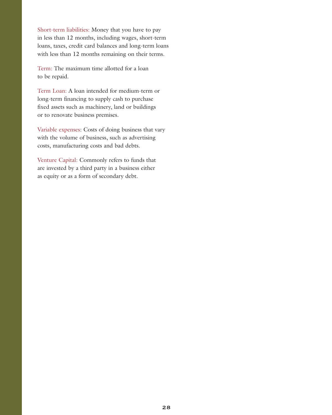Short-term liabilities: Money that you have to pay in less than 12 months, including wages, short-term loans, taxes, credit card balances and long-term loans with less than 12 months remaining on their terms.

Term: The maximum time allotted for a loan to be repaid.

Term Loan: A loan intended for medium-term or long-term financing to supply cash to purchase fixed assets such as machinery, land or buildings or to renovate business premises.

Variable expenses: Costs of doing business that vary with the volume of business, such as advertising costs, manufacturing costs and bad debts.

Venture Capital: Commonly refers to funds that are invested by a third party in a business either as equity or as a form of secondary debt.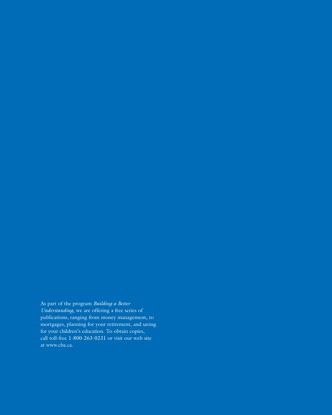As part of the program *Building a Better Understanding*, we are offering a free series of publications, ranging from money management, to mortgages, planning for your retirement, and saving for your children's education. To obtain copies, call toll-free 1-800-263-0231 or visit our web site at www.cba.ca.